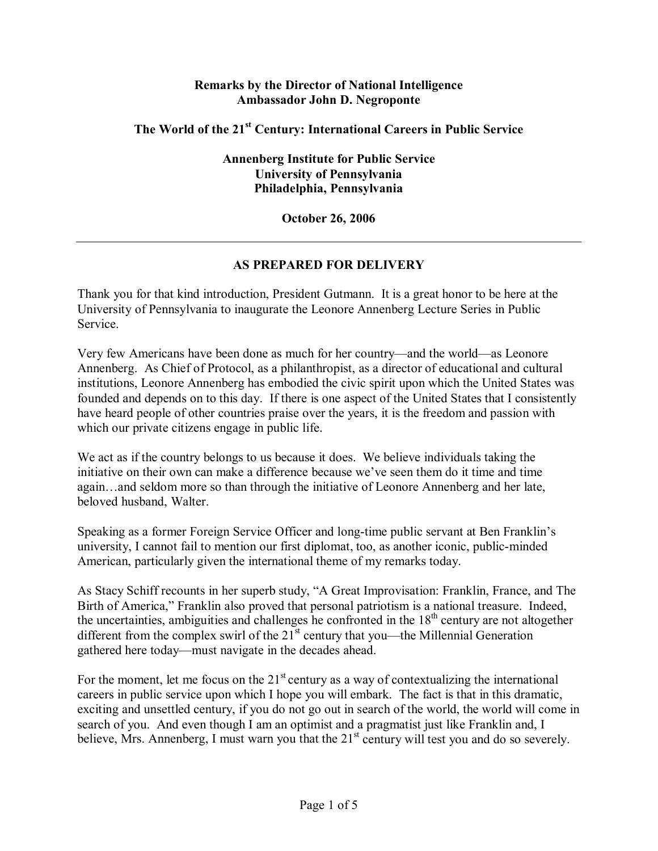## **Remarks by the Director of National Intelligence Ambassador John D. Negroponte**

## **The World of the 21st Century: International Careers in Public Service**

**Annenberg Institute for Public Service University of Pennsylvania Philadelphia, Pennsylvania** 

## **October 26, 2006**

## **AS PREPARED FOR DELIVERY**

Thank you for that kind introduction, President Gutmann. It is a great honor to be here at the University of Pennsylvania to inaugurate the Leonore Annenberg Lecture Series in Public Service.

Very few Americans have been done as much for her country—and the world—as Leonore Annenberg. As Chief of Protocol, as a philanthropist, as a director of educational and cultural institutions, Leonore Annenberg has embodied the civic spirit upon which the United States was founded and depends on to this day. If there is one aspect of the United States that I consistently have heard people of other countries praise over the years, it is the freedom and passion with which our private citizens engage in public life.

We act as if the country belongs to us because it does. We believe individuals taking the initiative on their own can make a difference because we've seen them do it time and time again...and seldom more so than through the initiative of Leonore Annenberg and her late, beloved husband, Walter.

Speaking as a former Foreign Service Officer and long-time public servant at Ben Franklin's university, I cannot fail to mention our first diplomat, too, as another iconic, public-minded American, particularly given the international theme of my remarks today.

As Stacy Schiff recounts in her superb study, "A Great Improvisation: Franklin, France, and The Birth of America," Franklin also proved that personal patriotism is a national treasure. Indeed, the uncertainties, ambiguities and challenges he confronted in the  $18<sup>th</sup>$  century are not altogether different from the complex swirl of the  $21<sup>st</sup>$  century that you—the Millennial Generation gathered here today—must navigate in the decades ahead.

For the moment, let me focus on the  $21<sup>st</sup>$  century as a way of contextualizing the international careers in public service upon which I hope you will embark. The fact is that in this dramatic, exciting and unsettled century, if you do not go out in search of the world, the world will come in search of you. And even though I am an optimist and a pragmatist just like Franklin and, I believe, Mrs. Annenberg, I must warn you that the  $21<sup>st</sup>$  century will test you and do so severely.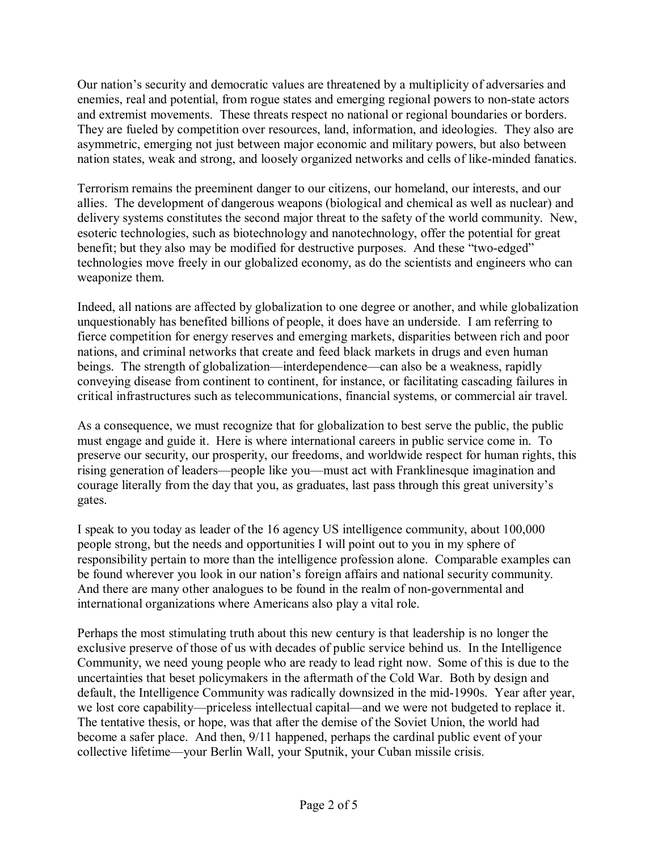Our nation's security and democratic values are threatened by a multiplicity of adversaries and enemies, real and potential, from rogue states and emerging regional powers to non-state actors and extremist movements. These threats respect no national or regional boundaries or borders. They are fueled by competition over resources, land, information, and ideologies. They also are asymmetric, emerging not just between major economic and military powers, but also between nation states, weak and strong, and loosely organized networks and cells of like-minded fanatics.

Terrorism remains the preeminent danger to our citizens, our homeland, our interests, and our allies. The development of dangerous weapons (biological and chemical as well as nuclear) and delivery systems constitutes the second major threat to the safety of the world community. New, esoteric technologies, such as biotechnology and nanotechnology, offer the potential for great benefit; but they also may be modified for destructive purposes. And these "two-edged" technologies move freely in our globalized economy, as do the scientists and engineers who can weaponize them.

Indeed, all nations are affected by globalization to one degree or another, and while globalization unquestionably has benefited billions of people, it does have an underside. I am referring to fierce competition for energy reserves and emerging markets, disparities between rich and poor nations, and criminal networks that create and feed black markets in drugs and even human beings. The strength of globalization—interdependence—can also be a weakness, rapidly conveying disease from continent to continent, for instance, or facilitating cascading failures in critical infrastructures such as telecommunications, financial systems, or commercial air travel.

As a consequence, we must recognize that for globalization to best serve the public, the public must engage and guide it. Here is where international careers in public service come in. To preserve our security, our prosperity, our freedoms, and worldwide respect for human rights, this rising generation of leaders—people like you—must act with Franklinesque imagination and courage literally from the day that you, as graduates, last pass through this great university's gates.

I speak to you today as leader of the 16 agency US intelligence community, about 100,000 people strong, but the needs and opportunities I will point out to you in my sphere of responsibility pertain to more than the intelligence profession alone. Comparable examples can be found wherever you look in our nation's foreign affairs and national security community. And there are many other analogues to be found in the realm of non-governmental and international organizations where Americans also play a vital role.

Perhaps the most stimulating truth about this new century is that leadership is no longer the exclusive preserve of those of us with decades of public service behind us. In the Intelligence Community, we need young people who are ready to lead right now. Some of this is due to the uncertainties that beset policymakers in the aftermath of the Cold War. Both by design and default, the Intelligence Community was radically downsized in the mid-1990s. Year after year, we lost core capability—priceless intellectual capital—and we were not budgeted to replace it. The tentative thesis, or hope, was that after the demise of the Soviet Union, the world had become a safer place. And then, 9/11 happened, perhaps the cardinal public event of your collective lifetime—your Berlin Wall, your Sputnik, your Cuban missile crisis.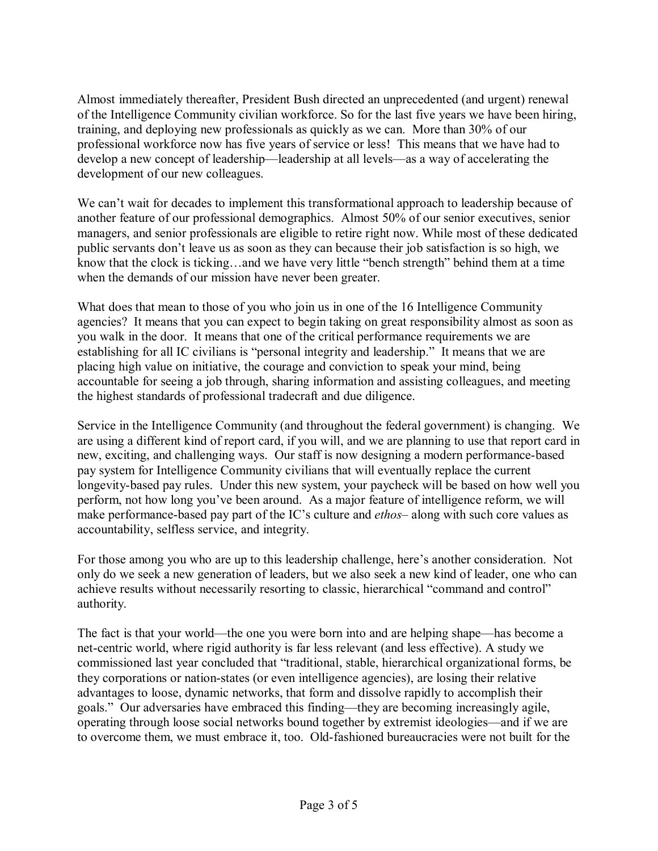Almost immediately thereafter, President Bush directed an unprecedented (and urgent) renewal of the Intelligence Community civilian workforce. So for the last five years we have been hiring, training, and deploying new professionals as quickly as we can. More than 30% of our professional workforce now has five years of service or less! This means that we have had to develop a new concept of leadership—leadership at all levels—as a way of accelerating the development of our new colleagues.

We can't wait for decades to implement this transformational approach to leadership because of another feature of our professional demographics. Almost 50% of our senior executives, senior managers, and senior professionals are eligible to retire right now. While most of these dedicated public servants don't leave us as soon as they can because their job satisfaction is so high, we know that the clock is ticking...and we have very little "bench strength" behind them at a time when the demands of our mission have never been greater.

What does that mean to those of you who join us in one of the 16 Intelligence Community agencies? It means that you can expect to begin taking on great responsibility almost as soon as you walk in the door. It means that one of the critical performance requirements we are establishing for all IC civilians is "personal integrity and leadership." It means that we are placing high value on initiative, the courage and conviction to speak your mind, being accountable for seeing a job through, sharing information and assisting colleagues, and meeting the highest standards of professional tradecraft and due diligence.

Service in the Intelligence Community (and throughout the federal government) is changing. We are using a different kind of report card, if you will, and we are planning to use that report card in new, exciting, and challenging ways. Our staff is now designing a modern performance-based pay system for Intelligence Community civilians that will eventually replace the current longevity-based pay rules. Under this new system, your paycheck will be based on how well you perform, not how long you've been around. As a major feature of intelligence reform, we will make performance-based pay part of the IC's culture and *ethos*—along with such core values as accountability, selfless service, and integrity.

For those among you who are up to this leadership challenge, here's another consideration. Not only do we seek a new generation of leaders, but we also seek a new kind of leader, one who can achieve results without necessarily resorting to classic, hierarchical "command and control" authority.

The fact is that your world—the one you were born into and are helping shape—has become a net-centric world, where rigid authority is far less relevant (and less effective). A study we commissioned last year concluded that "traditional, stable, hierarchical organizational forms, be they corporations or nation-states (or even intelligence agencies), are losing their relative advantages to loose, dynamic networks, that form and dissolve rapidly to accomplish their goals." Our adversaries have embraced this finding—they are becoming increasingly agile,  $\alpha$  operating through loose social networks bound together by extremist ideologies—and if we are to overcome them, we must embrace it, too. Old-fashioned bureaucracies were not built for the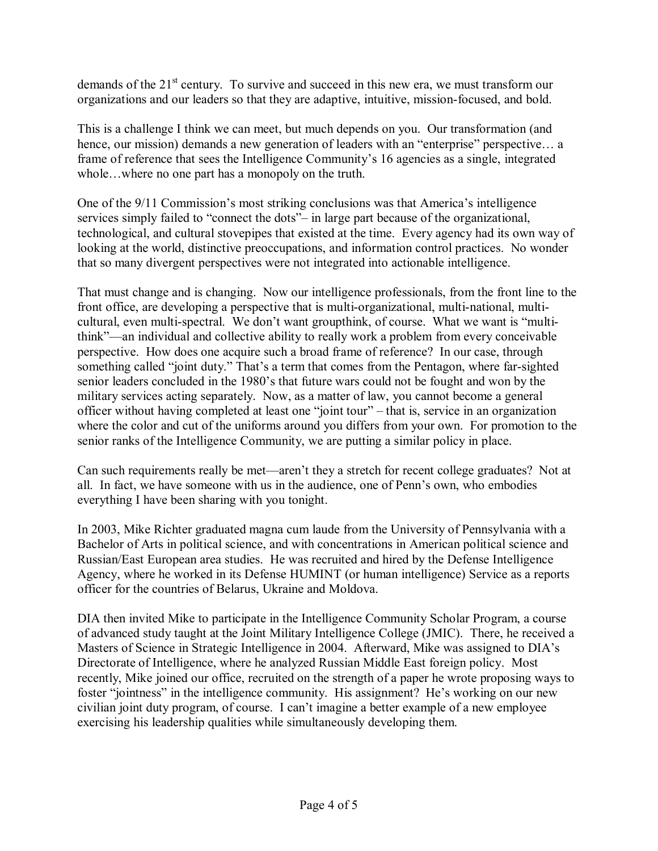demands of the  $21<sup>st</sup>$  century. To survive and succeed in this new era, we must transform our organizations and our leaders so that they are adaptive, intuitive, mission-focused, and bold.

This is a challenge I think we can meet, but much depends on you. Our transformation (and hence, our mission) demands a new generation of leaders with an "enterprise" perspective $\ldots$  a frame of reference that sees the Intelligence Community's 16 agencies as a single, integrated whole...where no one part has a monopoly on the truth.

One of the  $9/11$  Commission's most striking conclusions was that America's intelligence services simply failed to "connect the dots" – in large part because of the organizational, technological, and cultural stovepipes that existed at the time. Every agency had its own way of looking at the world, distinctive preoccupations, and information control practices. No wonder that so many divergent perspectives were not integrated into actionable intelligence.

That must change and is changing. Now our intelligence professionals, from the front line to the front office, are developing a perspective that is multi-organizational, multi-national, multicultural, even multi-spectral. We don't want groupthink, of course. What we want is "multithink"—an individual and collective ability to really work a problem from every conceivable perspective. How does one acquire such a broad frame of reference? In our case, through something called "joint duty." That's a term that comes from the Pentagon, where far-sighted senior leaders concluded in the 1980's that future wars could not be fought and won by the military services acting separately. Now, as a matter of law, you cannot become a general officer without having completed at least one "joint tour" – that is, service in an organization where the color and cut of the uniforms around you differs from your own. For promotion to the senior ranks of the Intelligence Community, we are putting a similar policy in place.

Can such requirements really be met—aren't they a stretch for recent college graduates? Not at all. In fact, we have someone with us in the audience, one of Penn's own, who embodies everything I have been sharing with you tonight.

In 2003, Mike Richter graduated magna cum laude from the University of Pennsylvania with a Bachelor of Arts in political science, and with concentrations in American political science and Russian/East European area studies. He was recruited and hired by the Defense Intelligence Agency, where he worked in its Defense HUMINT (or human intelligence) Service as a reports officer for the countries of Belarus, Ukraine and Moldova.

DIA then invited Mike to participate in the Intelligence Community Scholar Program, a course of advanced study taught at the Joint Military Intelligence College (JMIC). There, he received a Masters of Science in Strategic Intelligence in 2004. Afterward, Mike was assigned to DIA's Directorate of Intelligence, where he analyzed Russian Middle East foreign policy. Most recently, Mike joined our office, recruited on the strength of a paper he wrote proposing ways to foster "jointness" in the intelligence community. His assignment? He's working on our new civilian joint duty program, of course. I can't imagine a better example of a new employee exercising his leadership qualities while simultaneously developing them.